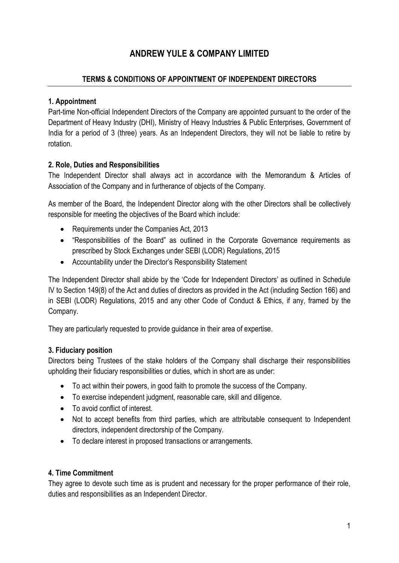# **ANDREW YULE & COMPANY LIMITED**

### **TERMS & CONDITIONS OF APPOINTMENT OF INDEPENDENT DIRECTORS**

#### **1. Appointment**

Part-time Non-official Independent Directors of the Company are appointed pursuant to the order of the Department of Heavy Industry (DHI), Ministry of Heavy Industries & Public Enterprises, Government of India for a period of 3 (three) years. As an Independent Directors, they will not be liable to retire by rotation.

## **2. Role, Duties and Responsibilities**

The Independent Director shall always act in accordance with the Memorandum & Articles of Association of the Company and in furtherance of objects of the Company.

As member of the Board, the Independent Director along with the other Directors shall be collectively responsible for meeting the objectives of the Board which include:

- Requirements under the Companies Act, 2013
- "Responsibilities of the Board" as outlined in the Corporate Governance requirements as prescribed by Stock Exchanges under SEBI (LODR) Regulations, 2015
- Accountability under the Director's Responsibility Statement

The Independent Director shall abide by the 'Code for Independent Directors' as outlined in Schedule IV to Section 149(8) of the Act and duties of directors as provided in the Act (including Section 166) and in SEBI (LODR) Regulations, 2015 and any other Code of Conduct & Ethics, if any, framed by the Company.

They are particularly requested to provide guidance in their area of expertise.

#### **3. Fiduciary position**

Directors being Trustees of the stake holders of the Company shall discharge their responsibilities upholding their fiduciary responsibilities or duties, which in short are as under:

- To act within their powers, in good faith to promote the success of the Company.
- To exercise independent judgment, reasonable care, skill and diligence.
- To avoid conflict of interest.
- Not to accept benefits from third parties, which are attributable consequent to Independent directors, independent directorship of the Company.
- To declare interest in proposed transactions or arrangements.

#### **4. Time Commitment**

They agree to devote such time as is prudent and necessary for the proper performance of their role, duties and responsibilities as an Independent Director.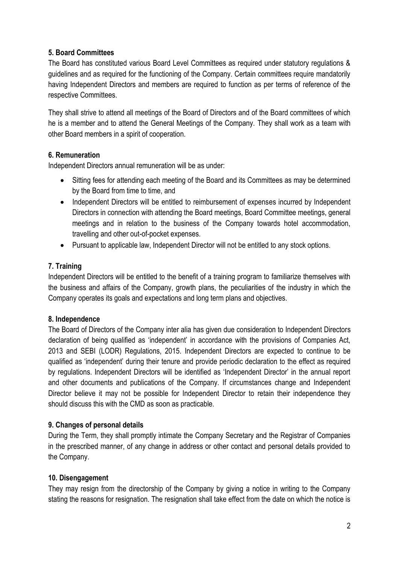#### **5. Board Committees**

The Board has constituted various Board Level Committees as required under statutory regulations & guidelines and as required for the functioning of the Company. Certain committees require mandatorily having Independent Directors and members are required to function as per terms of reference of the respective Committees.

They shall strive to attend all meetings of the Board of Directors and of the Board committees of which he is a member and to attend the General Meetings of the Company. They shall work as a team with other Board members in a spirit of cooperation.

#### **6. Remuneration**

Independent Directors annual remuneration will be as under:

- Sitting fees for attending each meeting of the Board and its Committees as may be determined by the Board from time to time, and
- Independent Directors will be entitled to reimbursement of expenses incurred by Independent Directors in connection with attending the Board meetings, Board Committee meetings, general meetings and in relation to the business of the Company towards hotel accommodation, travelling and other out-of-pocket expenses.
- Pursuant to applicable law, Independent Director will not be entitled to any stock options.

# **7. Training**

Independent Directors will be entitled to the benefit of a training program to familiarize themselves with the business and affairs of the Company, growth plans, the peculiarities of the industry in which the Company operates its goals and expectations and long term plans and objectives.

#### **8. Independence**

The Board of Directors of the Company inter alia has given due consideration to Independent Directors declaration of being qualified as 'independent' in accordance with the provisions of Companies Act, 2013 and SEBI (LODR) Regulations, 2015. Independent Directors are expected to continue to be qualified as 'independent' during their tenure and provide periodic declaration to the effect as required by regulations. Independent Directors will be identified as 'Independent Director' in the annual report and other documents and publications of the Company. If circumstances change and Independent Director believe it may not be possible for Independent Director to retain their independence they should discuss this with the CMD as soon as practicable.

#### **9. Changes of personal details**

During the Term, they shall promptly intimate the Company Secretary and the Registrar of Companies in the prescribed manner, of any change in address or other contact and personal details provided to the Company.

# **10. Disengagement**

They may resign from the directorship of the Company by giving a notice in writing to the Company stating the reasons for resignation. The resignation shall take effect from the date on which the notice is